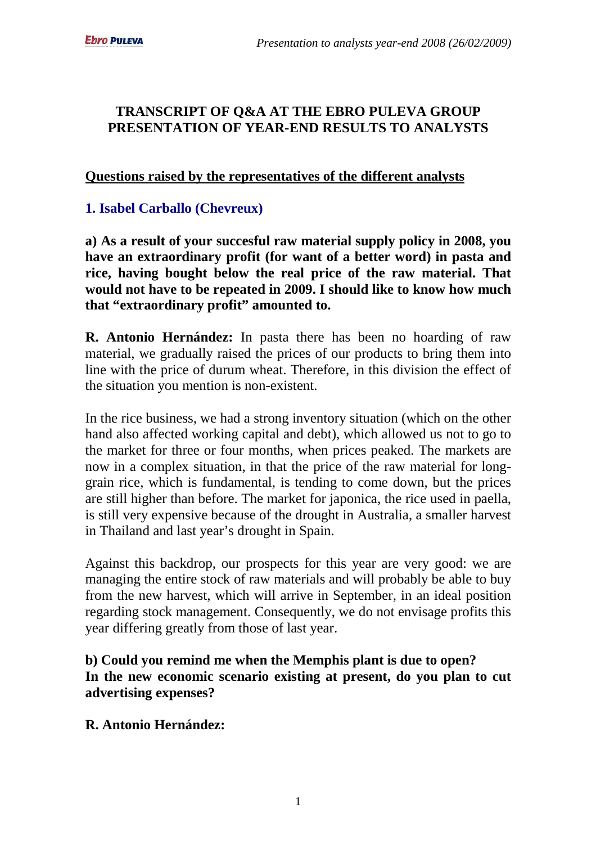## **TRANSCRIPT OF Q&A AT THE EBRO PULEVA GROUP PRESENTATION OF YEAR-END RESULTS TO ANALYSTS**

#### **Questions raised by the representatives of the different analysts**

## **1. Isabel Carballo (Chevreux)**

**a) As a result of your succesful raw material supply policy in 2008, you have an extraordinary profit (for want of a better word) in pasta and rice, having bought below the real price of the raw material. That would not have to be repeated in 2009. I should like to know how much that "extraordinary profit" amounted to.**

**R. Antonio Hernández:** In pasta there has been no hoarding of raw material, we gradually raised the prices of our products to bring them into line with the price of durum wheat. Therefore, in this division the effect of the situation you mention is non-existent.

In the rice business, we had a strong inventory situation (which on the other hand also affected working capital and debt), which allowed us not to go to the market for three or four months, when prices peaked. The markets are now in a complex situation, in that the price of the raw material for longgrain rice, which is fundamental, is tending to come down, but the prices are still higher than before. The market for japonica, the rice used in paella, is still very expensive because of the drought in Australia, a smaller harvest in Thailand and last year's drought in Spain.

Against this backdrop, our prospects for this year are very good: we are managing the entire stock of raw materials and will probably be able to buy from the new harvest, which will arrive in September, in an ideal position regarding stock management. Consequently, we do not envisage profits this year differing greatly from those of last year.

**b) Could you remind me when the Memphis plant is due to open? In the new economic scenario existing at present, do you plan to cut advertising expenses?**

#### **R. Antonio Hernández:**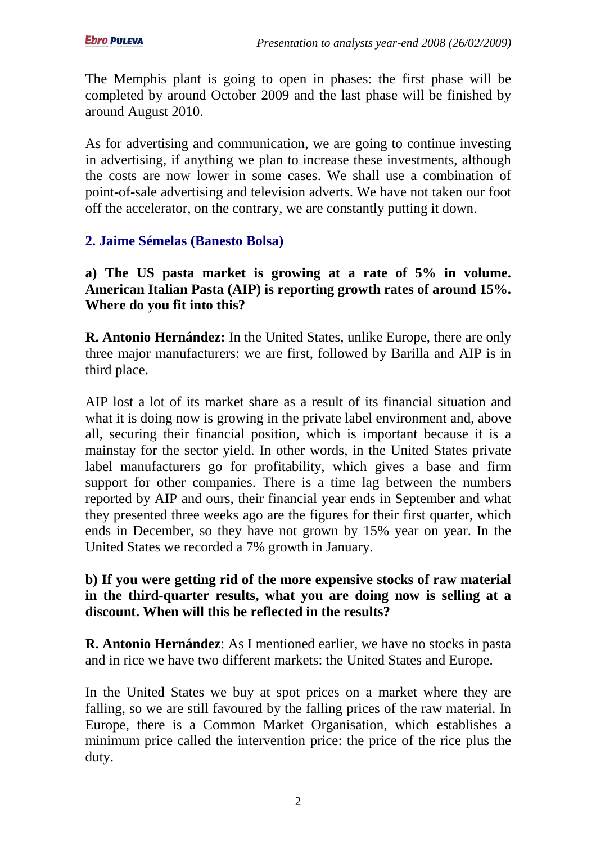The Memphis plant is going to open in phases: the first phase will be completed by around October 2009 and the last phase will be finished by around August 2010.

As for advertising and communication, we are going to continue investing in advertising, if anything we plan to increase these investments, although the costs are now lower in some cases. We shall use a combination of point-of-sale advertising and television adverts. We have not taken our foot off the accelerator, on the contrary, we are constantly putting it down.

## **2. Jaime Sémelas (Banesto Bolsa)**

**a) The US pasta market is growing at a rate of 5% in volume. American Italian Pasta (AIP) is reporting growth rates of around 15%. Where do you fit into this?** 

**R. Antonio Hernández:** In the United States, unlike Europe, there are only three major manufacturers: we are first, followed by Barilla and AIP is in third place.

AIP lost a lot of its market share as a result of its financial situation and what it is doing now is growing in the private label environment and, above all, securing their financial position, which is important because it is a mainstay for the sector yield. In other words, in the United States private label manufacturers go for profitability, which gives a base and firm support for other companies. There is a time lag between the numbers reported by AIP and ours, their financial year ends in September and what they presented three weeks ago are the figures for their first quarter, which ends in December, so they have not grown by 15% year on year. In the United States we recorded a 7% growth in January.

### **b) If you were getting rid of the more expensive stocks of raw material in the third-quarter results, what you are doing now is selling at a discount. When will this be reflected in the results?**

**R. Antonio Hernández**: As I mentioned earlier, we have no stocks in pasta and in rice we have two different markets: the United States and Europe.

In the United States we buy at spot prices on a market where they are falling, so we are still favoured by the falling prices of the raw material. In Europe, there is a Common Market Organisation, which establishes a minimum price called the intervention price: the price of the rice plus the duty.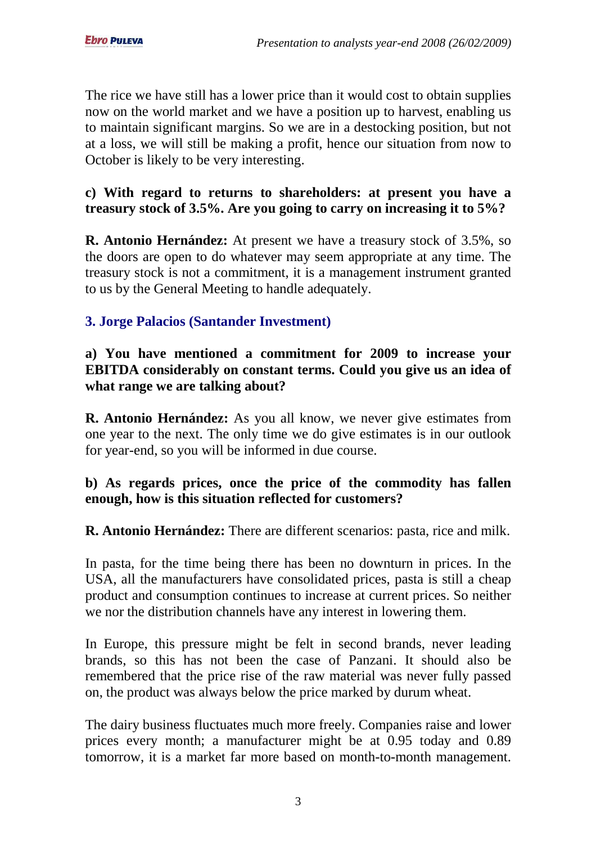The rice we have still has a lower price than it would cost to obtain supplies now on the world market and we have a position up to harvest, enabling us to maintain significant margins. So we are in a destocking position, but not at a loss, we will still be making a profit, hence our situation from now to October is likely to be very interesting.

### **c) With regard to returns to shareholders: at present you have a treasury stock of 3.5%. Are you going to carry on increasing it to 5%?**

**R. Antonio Hernández:** At present we have a treasury stock of 3.5%, so the doors are open to do whatever may seem appropriate at any time. The treasury stock is not a commitment, it is a management instrument granted to us by the General Meeting to handle adequately.

## **3. Jorge Palacios (Santander Investment)**

**a) You have mentioned a commitment for 2009 to increase your EBITDA considerably on constant terms. Could you give us an idea of what range we are talking about?** 

**R. Antonio Hernández:** As you all know, we never give estimates from one year to the next. The only time we do give estimates is in our outlook for year-end, so you will be informed in due course.

### **b) As regards prices, once the price of the commodity has fallen enough, how is this situation reflected for customers?**

**R. Antonio Hernández:** There are different scenarios: pasta, rice and milk.

In pasta, for the time being there has been no downturn in prices. In the USA, all the manufacturers have consolidated prices, pasta is still a cheap product and consumption continues to increase at current prices. So neither we nor the distribution channels have any interest in lowering them.

In Europe, this pressure might be felt in second brands, never leading brands, so this has not been the case of Panzani. It should also be remembered that the price rise of the raw material was never fully passed on, the product was always below the price marked by durum wheat.

The dairy business fluctuates much more freely. Companies raise and lower prices every month; a manufacturer might be at 0.95 today and 0.89 tomorrow, it is a market far more based on month-to-month management.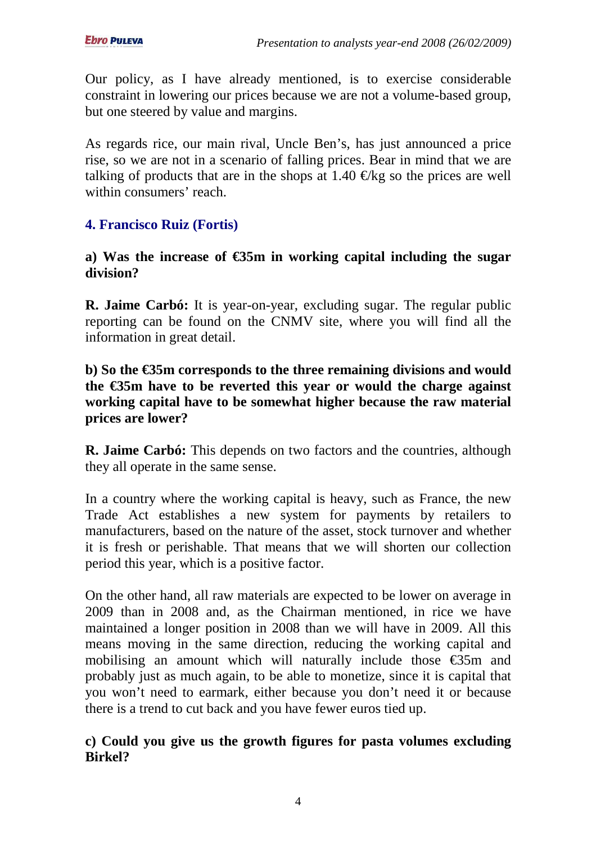Our policy, as I have already mentioned, is to exercise considerable constraint in lowering our prices because we are not a volume-based group, but one steered by value and margins.

As regards rice, our main rival, Uncle Ben's, has just announced a price rise, so we are not in a scenario of falling prices. Bear in mind that we are talking of products that are in the shops at 1.40  $\bigoplus$  kg so the prices are well within consumers' reach.

# **4. Francisco Ruiz (Fortis)**

### **a) Was the increase of €35m in working capital including the sugar division?**

**R. Jaime Carbó:** It is year-on-year, excluding sugar. The regular public reporting can be found on the CNMV site, where you will find all the information in great detail.

### **b)** So the  $\epsilon$ 35m corresponds to the three remaining dvisions and would **the €35m have to be reverted this year or would the charge against working capital have to be somewhat higher because the raw material prices are lower?**

**R. Jaime Carbó:** This depends on two factors and the countries, although they all operate in the same sense.

In a country where the working capital is heavy, such as France, the new Trade Act establishes a new system for payments by retailers to manufacturers, based on the nature of the asset, stock turnover and whether it is fresh or perishable. That means that we will shorten our collection period this year, which is a positive factor.

On the other hand, all raw materials are expected to be lower on average in 2009 than in 2008 and, as the Chairman mentioned, in rice we have maintained a longer position in 2008 than we will have in 2009. All this means moving in the same direction, reducing the working capital and mobilising an amount which will naturally include those  $\epsilon$ 35m and probably just as much again, to be able to monetize, since it is capital that you won't need to earmark, either because you don't need it or because there is a trend to cut back and you have fewer euros tied up.

# **c) Could you give us the growth figures for pasta volumes excluding Birkel?**